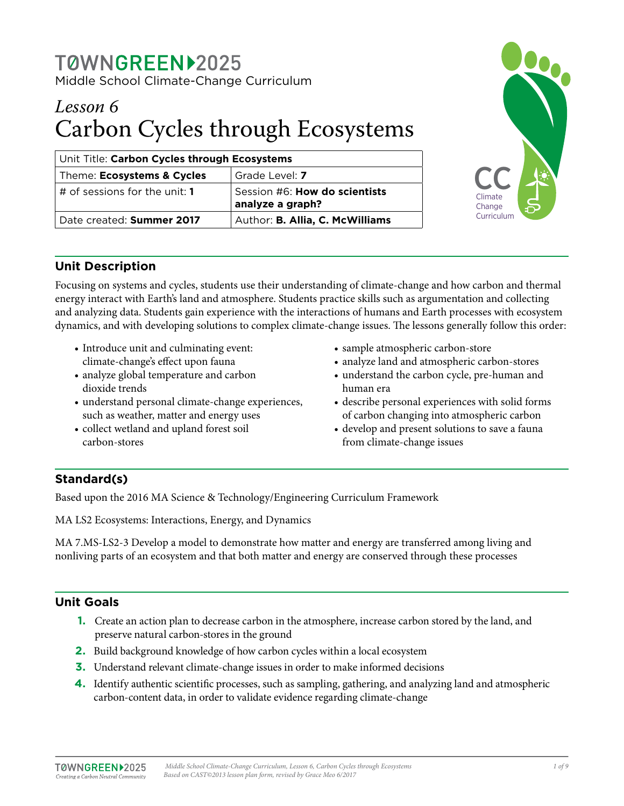## TØWNGREEN12025 Middle School Climate-Change Curriculum

# *Lesson 6* Carbon Cycles through Ecosystems

| Unit Title: Carbon Cycles through Ecosystems |                                                                |
|----------------------------------------------|----------------------------------------------------------------|
| Theme: Ecosystems & Cycles                   | Grade Level: 7                                                 |
| $\vert$ # of sessions for the unit: <b>1</b> | Session #6: How do scientists<br>$^{\dagger}$ analyze a graph? |
| Date created: Summer 2017                    | Author: B. Allia, C. McWilliams                                |



## **Unit Description**

Focusing on systems and cycles, students use their understanding of climate-change and how carbon and thermal energy interact with Earth's land and atmosphere. Students practice skills such as argumentation and collecting and analyzing data. Students gain experience with the interactions of humans and Earth processes with ecosystem dynamics, and with developing solutions to complex climate-change issues. The lessons generally follow this order:

- Introduce unit and culminating event: climate-change's effect upon fauna
- analyze global temperature and carbon dioxide trends
- understand personal climate-change experiences, such as weather, matter and energy uses
- collect wetland and upland forest soil carbon-stores
- sample atmospheric carbon-store
- analyze land and atmospheric carbon-stores
- understand the carbon cycle, pre-human and human era
- describe personal experiences with solid forms of carbon changing into atmospheric carbon
- develop and present solutions to save a fauna from climate-change issues

## **Standard(s)**

Based upon the 2016 MA Science & Technology/Engineering Curriculum Framework

MA LS2 Ecosystems: Interactions, Energy, and Dynamics

MA 7.MS-LS2-3 Develop a model to demonstrate how matter and energy are transferred among living and nonliving parts of an ecosystem and that both matter and energy are conserved through these processes

## **Unit Goals**

- **1.** Create an action plan to decrease carbon in the atmosphere, increase carbon stored by the land, and preserve natural carbon-stores in the ground
- **2.** Build background knowledge of how carbon cycles within a local ecosystem
- **3.** Understand relevant climate-change issues in order to make informed decisions
- **4.** Identify authentic scientific processes, such as sampling, gathering, and analyzing land and atmospheric carbon-content data, in order to validate evidence regarding climate-change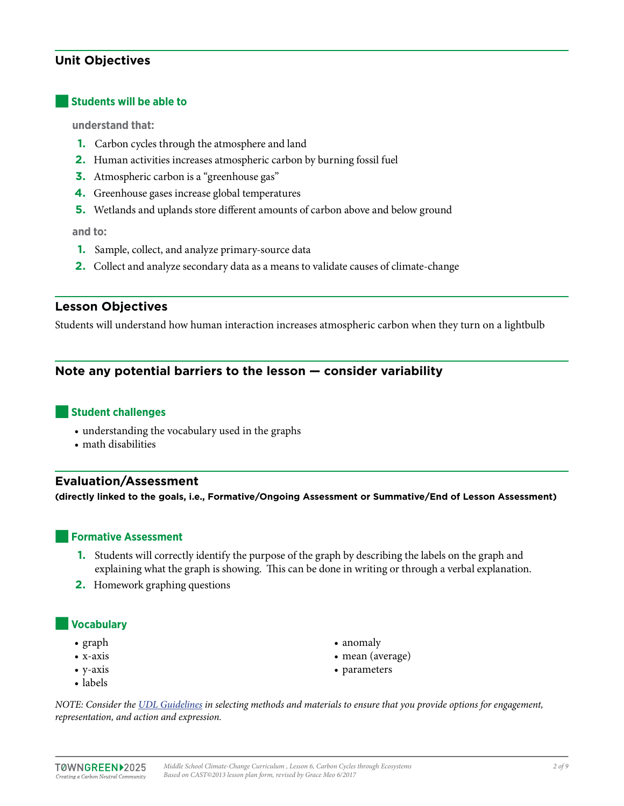## **Unit Objectives**

#### ■**Students will be able to**

**understand that:** 

- **1.** Carbon cycles through the atmosphere and land
- **2.** Human activities increases atmospheric carbon by burning fossil fuel
- **3.** Atmospheric carbon is a "greenhouse gas"
- **4.** Greenhouse gases increase global temperatures
- **5.** Wetlands and uplands store different amounts of carbon above and below ground

**and to:**

- **1.** Sample, collect, and analyze primary-source data
- **2.** Collect and analyze secondary data as a means to validate causes of climate-change

#### **Lesson Objectives**

Students will understand how human interaction increases atmospheric carbon when they turn on a lightbulb

### **Note any potential barriers to the lesson — consider variability**

#### ■**Student challenges**

- understanding the vocabulary used in the graphs
- math disabilities

#### **Evaluation/Assessment**

**(directly linked to the goals, i.e., Formative/Ongoing Assessment or Summative/End of Lesson Assessment)**

#### **Formative Assessment**

- **1.** Students will correctly identify the purpose of the graph by describing the labels on the graph and explaining what the graph is showing. This can be done in writing or through a verbal explanation.
- **2.** Homework graphing questions

#### ■**Vocabulary**

- graph
- x-axis
- y-axis
- labels
- anomaly
- mean (average)
- parameters

*NOTE: Consider the [UDL Guidelines](http://bit.ly/1d5bjtS) in selecting methods and materials to ensure that you provide options for engagement, representation, and action and expression.*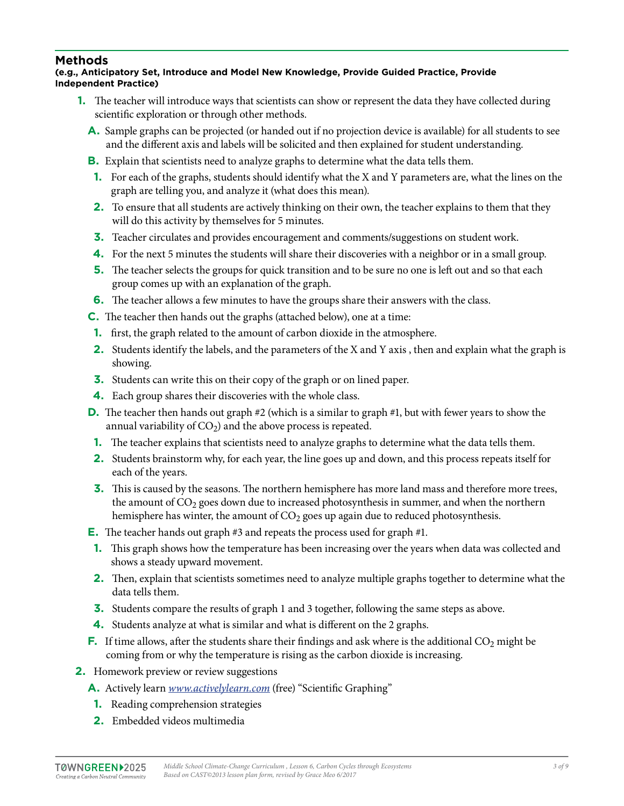## **Methods**

#### **(e.g., Anticipatory Set, Introduce and Model New Knowledge, Provide Guided Practice, Provide Independent Practice)**

- **1.** The teacher will introduce ways that scientists can show or represent the data they have collected during scientific exploration or through other methods.
	- **A.** Sample graphs can be projected (or handed out if no projection device is available) for all students to see and the different axis and labels will be solicited and then explained for student understanding.
	- **B.** Explain that scientists need to analyze graphs to determine what the data tells them.
	- **1.** For each of the graphs, students should identify what the X and Y parameters are, what the lines on the graph are telling you, and analyze it (what does this mean).
	- **2.** To ensure that all students are actively thinking on their own, the teacher explains to them that they will do this activity by themselves for 5 minutes.
	- **3.** Teacher circulates and provides encouragement and comments/suggestions on student work.
	- **4.** For the next 5 minutes the students will share their discoveries with a neighbor or in a small group.
	- **5.** The teacher selects the groups for quick transition and to be sure no one is left out and so that each group comes up with an explanation of the graph.
	- **6.** The teacher allows a few minutes to have the groups share their answers with the class.

**C.** The teacher then hands out the graphs (attached below), one at a time:

- **1.** first, the graph related to the amount of carbon dioxide in the atmosphere.
- **2.** Students identify the labels, and the parameters of the X and Y axis , then and explain what the graph is showing.
- **3.** Students can write this on their copy of the graph or on lined paper.
- **4.** Each group shares their discoveries with the whole class.
- **D.** The teacher then hands out graph #2 (which is a similar to graph #1, but with fewer years to show the annual variability of  $CO<sub>2</sub>$ ) and the above process is repeated.
- **1.** The teacher explains that scientists need to analyze graphs to determine what the data tells them.
- **2.** Students brainstorm why, for each year, the line goes up and down, and this process repeats itself for each of the years.
- **3.** This is caused by the seasons. The northern hemisphere has more land mass and therefore more trees, the amount of  $CO<sub>2</sub>$  goes down due to increased photosynthesis in summer, and when the northern hemisphere has winter, the amount of  $CO<sub>2</sub>$  goes up again due to reduced photosynthesis.
- **E.** The teacher hands out graph #3 and repeats the process used for graph #1.
- **1.** This graph shows how the temperature has been increasing over the years when data was collected and shows a steady upward movement.
- **2.** Then, explain that scientists sometimes need to analyze multiple graphs together to determine what the data tells them.
- **3.** Students compare the results of graph 1 and 3 together, following the same steps as above.
- **4.** Students analyze at what is similar and what is different on the 2 graphs.
- **F.** If time allows, after the students share their findings and ask where is the additional  $CO_2$  might be coming from or why the temperature is rising as the carbon dioxide is increasing.
- **2.** Homework preview or review suggestions
	- **A.** Actively learn *[www.activelylearn.com](http://www.activelylearn.com)* (free) "Scientific Graphing"
	- **1.** Reading comprehension strategies
	- **2.** Embedded videos multimedia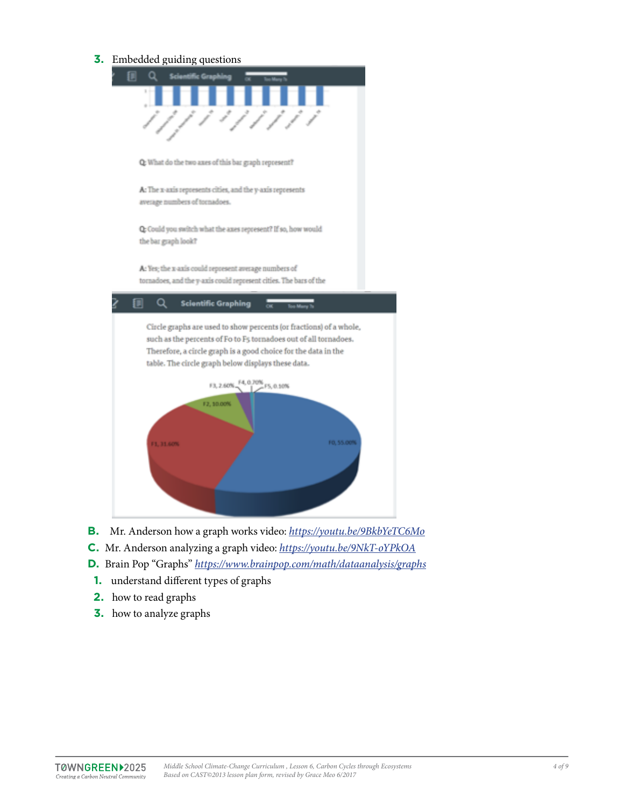**3.** Embedded guiding questions



- **B.** Mr. Anderson how a graph works video: *<https://youtu.be/9BkbYeTC6Mo>*
- **C.** Mr. Anderson analyzing a graph video: *<https://youtu.be/9NkT-oYPkOA>*
- **D.** Brain Pop "Graphs" *<https://www.brainpop.com/math/dataanalysis/graphs>*
- **1.** understand different types of graphs
- **2.** how to read graphs
- **3.** how to analyze graphs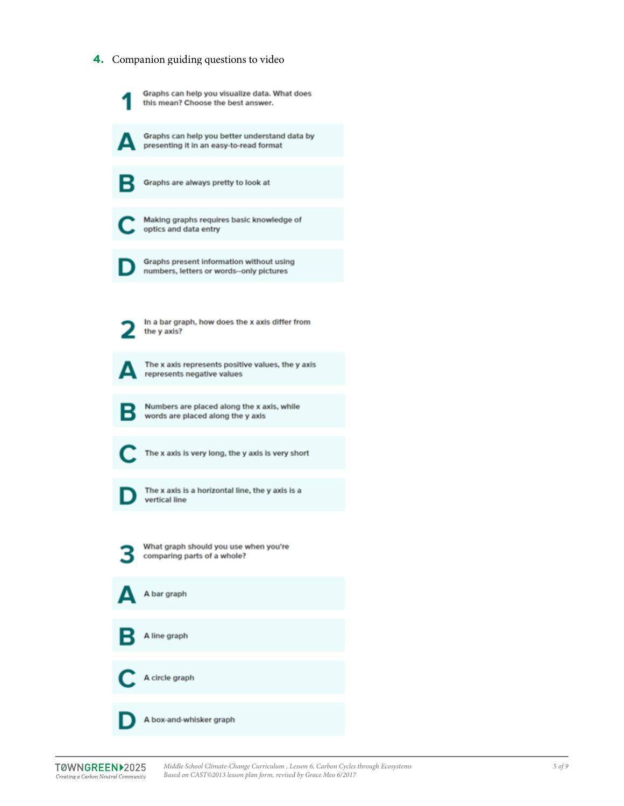#### **4.** Companion guiding questions to video

Graphs can help you visualize data. What does this mean? Choose the best answer.

Δ

Graphs can help you better understand data by presenting it in an easy-to-read format

в

Graphs are always pretty to look at

Making graphs requires basic knowledge of optics and data entry

Graphs present information without using numbers, letters or words--only pictures

In a bar graph, how does the x axis differ from the y axis?

▲

The x axis represents positive values, the y axis represents negative values



Numbers are placed along the x axis, while words are placed along the y axis

The x axis is very long, the y axis is very short

The x axis is a horizontal line, the y axis is a vertical line

What graph should you use when you're comparing parts of a whole?

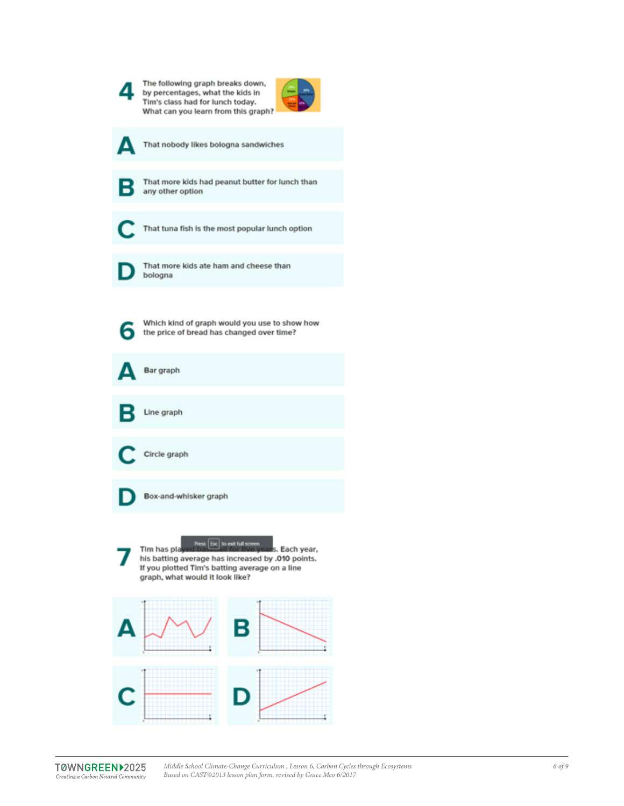|   | The following graph breaks down,<br>by percentages, what the kids in<br>Tim's class had for lunch today.<br>What can you learn from this graph?                                                         |
|---|---------------------------------------------------------------------------------------------------------------------------------------------------------------------------------------------------------|
| Δ | That nobody likes bologna sandwiches                                                                                                                                                                    |
| В | That more kids had peanut butter for lunch than<br>any other option                                                                                                                                     |
| Œ | That tuna fish is the most popular lunch option                                                                                                                                                         |
|   | That more kids ate ham and cheese than<br>bologna                                                                                                                                                       |
| 6 | Which kind of graph would you use to show how<br>the price of bread has changed over time?                                                                                                              |
|   | Bar graph                                                                                                                                                                                               |
| в | Line graph                                                                                                                                                                                              |
|   | Circle graph                                                                                                                                                                                            |
|   | Box-and-whisker graph                                                                                                                                                                                   |
|   | Press Esc to exit full screen<br>Tim has pla<br>s. Each year,<br>his batting average has increased by .010 points.<br>If you plotted Tim's batting average on a line<br>graph, what would it look like? |
|   | В                                                                                                                                                                                                       |
| C | D                                                                                                                                                                                                       |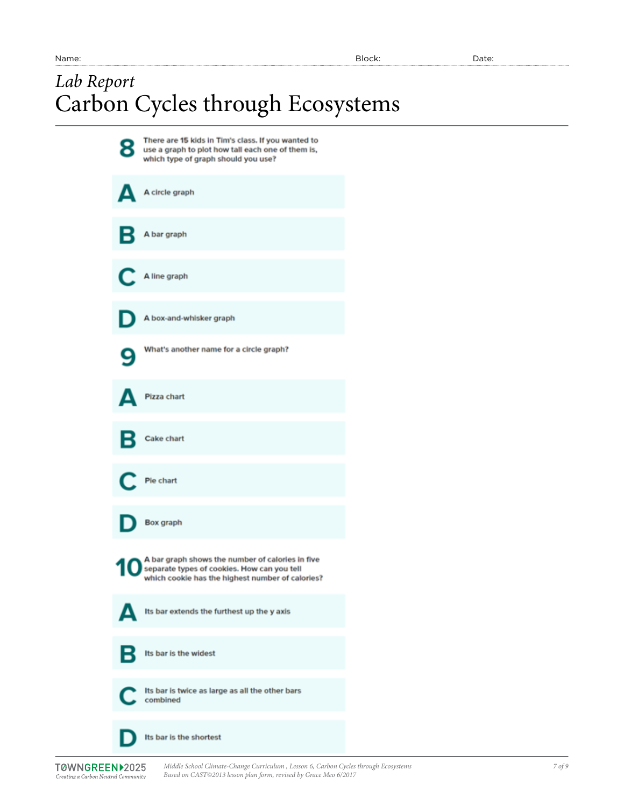# *Lab Report* Carbon Cycles through Ecosystems

| 8 | There are 15 kids in Tim's class. If you wanted to<br>use a graph to plot how tall each one of them is,<br>which type of graph should you use?      |
|---|-----------------------------------------------------------------------------------------------------------------------------------------------------|
| Δ | A circle graph                                                                                                                                      |
|   | B A bar graph                                                                                                                                       |
|   | A line graph                                                                                                                                        |
|   | A box-and-whisker graph                                                                                                                             |
| 9 | What's another name for a circle graph?                                                                                                             |
| Д | Pizza chart                                                                                                                                         |
|   | <b>B</b> Cake chart                                                                                                                                 |
|   | C. Pie chart                                                                                                                                        |
|   | Box graph                                                                                                                                           |
|   | A bar graph shows the number of calories in five<br>separate types of cookies. How can you tell<br>which cookie has the highest number of calories? |
|   | Its bar extends the furthest up the y axis                                                                                                          |
| В | Its bar is the widest                                                                                                                               |
| C | Its bar is twice as large as all the other bars<br>combined                                                                                         |
|   | Its bar is the shortest                                                                                                                             |

*Middle School Climate-Change Curriculum , Lesson 6, Carbon Cycles through Ecosystems Based on CAST©2013 lesson plan form, revised by Grace Meo 6/2017*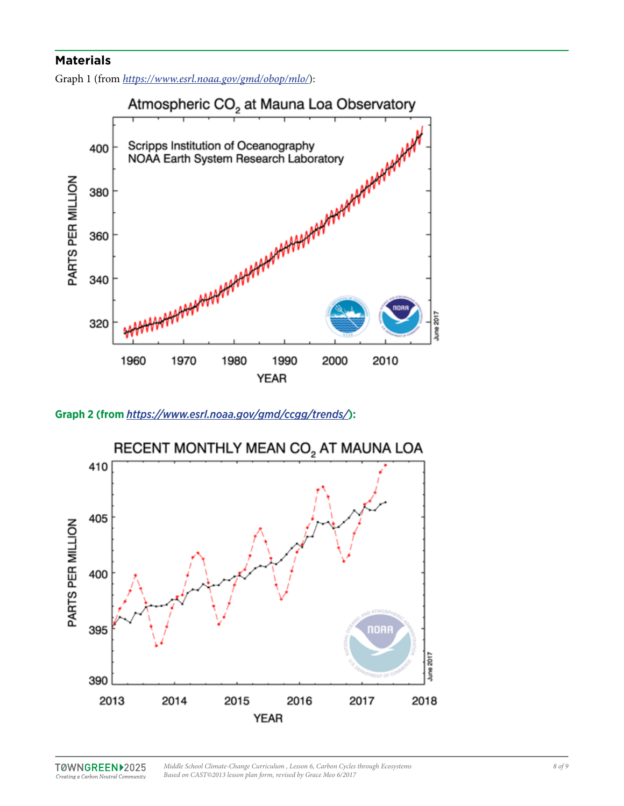## **Materials**

Graph 1 (from *<https://www.esrl.noaa.gov/gmd/obop/mlo/>*):



**Graph 2 (from** *<https://www.esrl.noaa.gov/gmd/ccgg/trends/>***):**